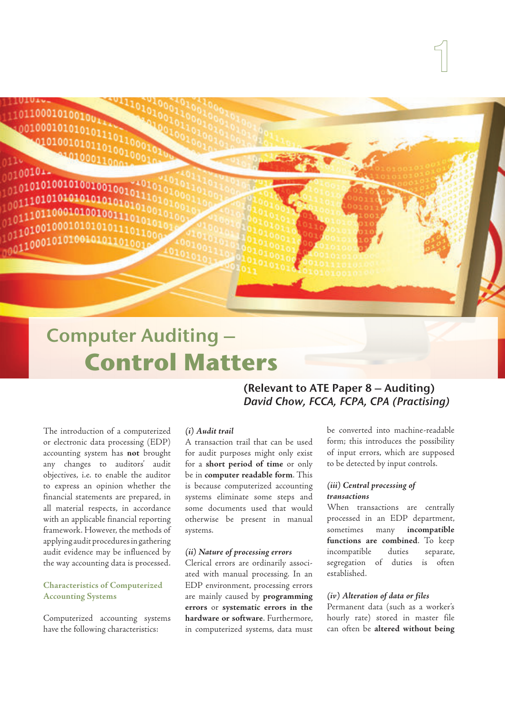01100010100100 0010001010101011 0101001010110

0100101.  $0101010100101001001$ 01010101010101  $00111011000101$  $01101001000101$ 

# Computer Auditing –  **Control Matters**

The introduction of a computerized or electronic data processing (EDP) accounting system has **not** brought any changes to auditors' audit objectives, i.e. to enable the auditor to express an opinion whether the financial statements are prepared, in all material respects, in accordance with an applicable financial reporting framework. However, the methods of applying audit procedures in gathering audit evidence may be influenced by the way accounting data is processed.

#### **Characteristics of Computerized Accounting Systems**

Computerized accounting systems have the following characteristics:

## (Relevant to ATE Paper 8 – Auditing) David Chow, FCCA, FCPA, CPA (Practising)

#### **(i) Audit trail**

A transaction trail that can be used for audit purposes might only exist for a **short period of time** or only be in **computer readable form**. This is because computerized accounting systems eliminate some steps and some documents used that would otherwise be present in manual systems.

#### **(ii) Nature of processing errors**

Clerical errors are ordinarily associated with manual processing. In an EDP environment, processing errors are mainly caused by **programming errors** or **systematic errors in the hardware or software**. Furthermore, in computerized systems, data must

be converted into machine-readable form; this introduces the possibility of input errors, which are supposed to be detected by input controls.

#### **(iii) Central processing of transactions**

When transactions are centrally processed in an EDP department, sometimes many **incompatible functions are combined**. To keep incompatible duties separate, segregation of duties is often established.

#### **(iv) Alteration of data or files**

Permanent data (such as a worker's hourly rate) stored in master file can often be **altered without being**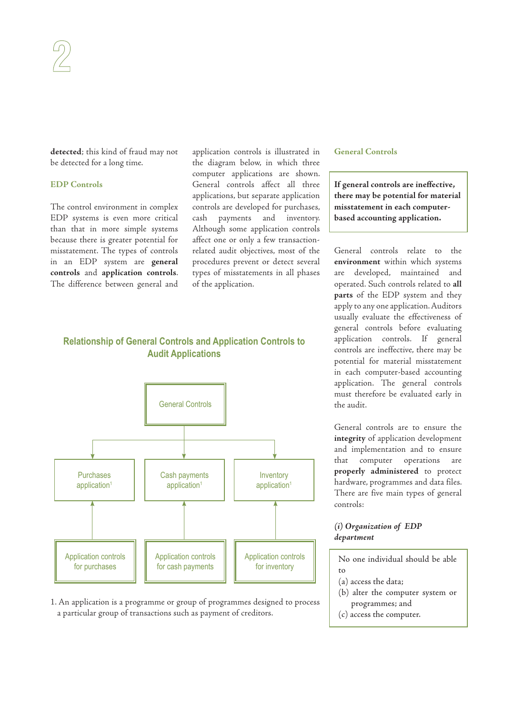**detected**; this kind of fraud may not be detected for a long time.

#### **EDP Controls**

The control environment in complex EDP systems is even more critical than that in more simple systems because there is greater potential for misstatement. The types of controls in an EDP system are **general controls** and **application controls**. The difference between general and application controls is illustrated in the diagram below, in which three computer applications are shown. General controls affect all three applications, but separate application controls are developed for purchases, cash payments and inventory. Although some application controls affect one or only a few transactionrelated audit objectives, most of the procedures prevent or detect several types of misstatements in all phases of the application.

#### **General Controls**

**If general controls are ineffective, there may be potential for material misstatement in each computerbased accounting application.**

General controls relate to the **environment** within which systems are developed, maintained and operated. Such controls related to **all parts** of the EDP system and they apply to any one application. Auditors usually evaluate the effectiveness of general controls before evaluating application controls. If general controls are ineffective, there may be potential for material misstatement in each computer-based accounting application. The general controls must therefore be evaluated early in the audit.

General controls are to ensure the **integrity** of application development and implementation and to ensure that computer operations are **properly administered** to protect hardware, programmes and data files. There are five main types of general controls:

#### **(i) Organization of EDP department**

No one individual should be able  $\overline{t}$ 

- (a) access the data;
- (b) alter the computer system or programmes; and
- (c) access the computer.

### **Relationship of General Controls and Application Controls to Audit Applications**



1. An application is a programme or group of programmes designed to process a particular group of transactions such as payment of creditors.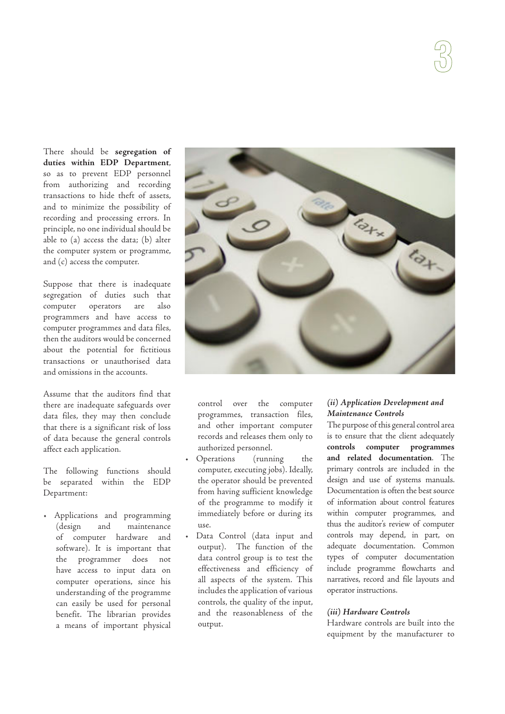There should be **segregation of duties within EDP Department**, so as to prevent EDP personnel from authorizing and recording transactions to hide theft of assets, and to minimize the possibility of recording and processing errors. In principle, no one individual should be able to (a) access the data; (b) alter the computer system or programme, and (c) access the computer.

Suppose that there is inadequate segregation of duties such that computer operators are also programmers and have access to computer programmes and data files, then the auditors would be concerned about the potential for fictitious transactions or unauthorised data and omissions in the accounts.

Assume that the auditors find that there are inadequate safeguards over data files, they may then conclude that there is a significant risk of loss of data because the general controls affect each application.

The following functions should be separated within the EDP Department:

• Applications and programming (design and maintenance of computer hardware and software). It is important that the programmer does not have access to input data on computer operations, since his understanding of the programme can easily be used for personal benefit. The librarian provides a means of important physical



control over the computer programmes, transaction files, and other important computer records and releases them only to authorized personnel.

- Operations (running the computer, executing jobs). Ideally, the operator should be prevented from having sufficient knowledge of the programme to modify it immediately before or during its use.
- Data Control (data input and output). The function of the data control group is to test the effectiveness and efficiency of all aspects of the system. This includes the application of various controls, the quality of the input, and the reasonableness of the output.

#### **(ii) Application Development and Maintenance Controls**

The purpose of this general control area is to ensure that the client adequately **controls computer programmes and related documentation**. The primary controls are included in the design and use of systems manuals. Documentation is often the best source of information about control features within computer programmes, and thus the auditor's review of computer controls may depend, in part, on adequate documentation. Common types of computer documentation include programme flowcharts and narratives, record and file layouts and operator instructions.

#### **(iii) Hardware Controls**

Hardware controls are built into the equipment by the manufacturer to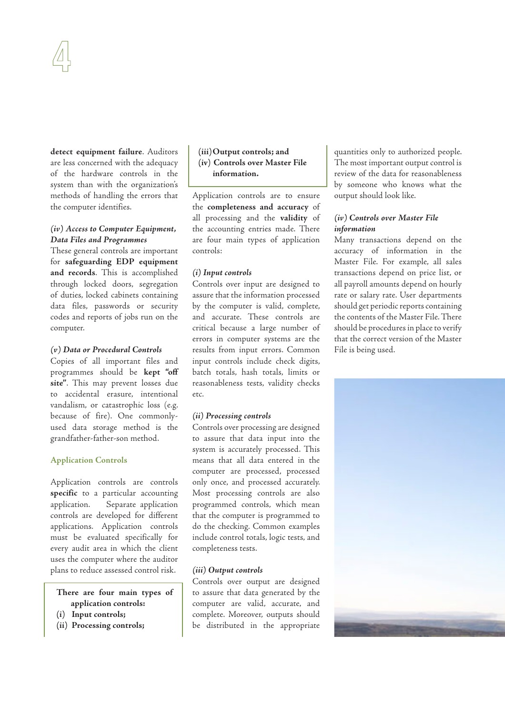**detect equipment failure**. Auditors are less concerned with the adequacy of the hardware controls in the system than with the organization's methods of handling the errors that the computer identifies.

#### **(iv) Access to Computer Equipment, Data Files and Programmes**

These general controls are important for **safeguarding EDP equipment and records**. This is accomplished through locked doors, segregation of duties, locked cabinets containing data files, passwords or security codes and reports of jobs run on the computer.

#### **(v) Data or Procedural Controls**

Copies of all important files and programmes should be **kept "off site"**. This may prevent losses due to accidental erasure, intentional vandalism, or catastrophic loss (e.g. because of fire). One commonlyused data storage method is the grandfather-father-son method.

#### **Application Controls**

Application controls are controls **specific** to a particular accounting application. Separate application controls are developed for different applications. Application controls must be evaluated specifically for every audit area in which the client uses the computer where the auditor plans to reduce assessed control risk.

#### **There are four main types of application controls:**

- **(i) Input controls;**
- **(ii) Processing controls;**

#### **(iii) Output controls; and (iv) Controls over Master File information.**

Application controls are to ensure the **completeness and accuracy** of all processing and the **validity** of the accounting entries made. There are four main types of application controls:

#### **(i) Input controls**

Controls over input are designed to assure that the information processed by the computer is valid, complete, and accurate. These controls are critical because a large number of errors in computer systems are the results from input errors. Common input controls include check digits, batch totals, hash totals, limits or reasonableness tests, validity checks etc.

#### **(ii) Processing controls**

Controls over processing are designed to assure that data input into the system is accurately processed. This means that all data entered in the computer are processed, processed only once, and processed accurately. Most processing controls are also programmed controls, which mean that the computer is programmed to do the checking. Common examples include control totals, logic tests, and completeness tests.

#### **(iii) Output controls**

Controls over output are designed to assure that data generated by the computer are valid, accurate, and complete. Moreover, outputs should be distributed in the appropriate

quantities only to authorized people. The most important output control is review of the data for reasonableness by someone who knows what the output should look like.

#### **(iv) Controls over Master File information**

Many transactions depend on the accuracy of information in the Master File. For example, all sales transactions depend on price list, or all payroll amounts depend on hourly rate or salary rate. User departments should get periodic reports containing the contents of the Master File. There should be procedures in place to verify that the correct version of the Master File is being used.